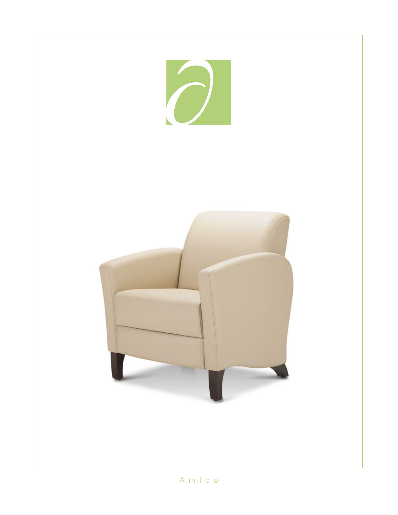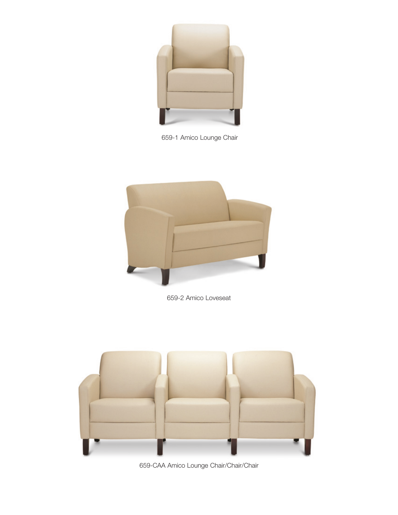

659-1 Amico Lounge Chair



659-2 Amico Loveseat



659-CAA Amico Lounge Chair/Chair/Chair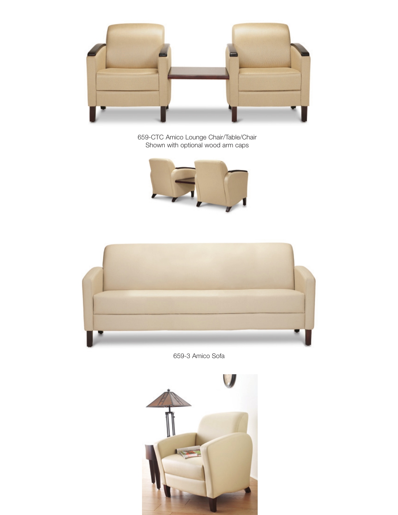

659-CTC Amico Lounge Chair/Table/Chair Shown with optional wood arm caps





659-3 Amico Sofa